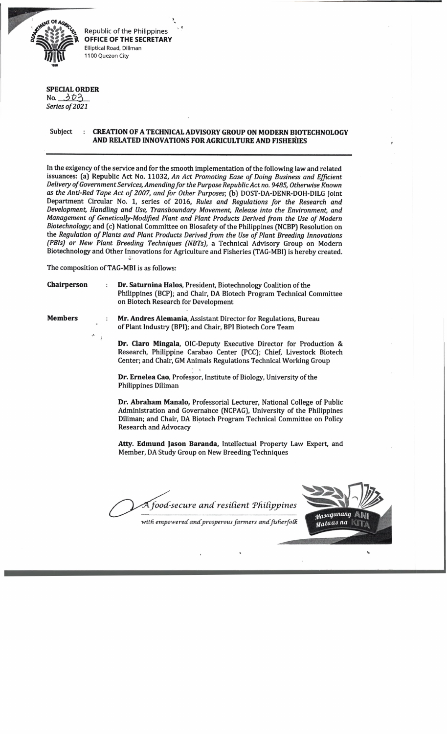

Republic of the Philippines **OFFICE OF THE SECRETARY** Elliptical Road, Diliman 1100 Quezon City

## **SPECIAL ORDER**

No.  $303$ Series of 2021

## Subject : **CREATION OF A TECHNICAL ADVISORY GROUP ON MODERN BIOTECHNOLOGY AND RELATED INNOVATIONS FOR AGRICULTURE AND FISHERIES \*I**

In the exigency of the service and for the smooth implementation of the following law and related issuances: (a) Republic Act No. 11032, *An Act Promoting Ease of Doing Business and Efficient* Delivery of Government Services, Amending for the Purpose Republic Act no. 9485, Otherwise Known as the Anti-Red Tape Act of 2007, and for Other Purposes; (b) DOST-DA-DENR-DOH-DILG Joint Department Circular No. 1, series of 2016, *Rules and Regulations for the Research and Development, Handling and Use, Transboundary Movement, Release into the Environment, and* Management of Genetically-Modified Plant and Plant Products Derived from the Use of Modern *Biotechnology;* and (c) National Committee on Biosafety of the Philippines (NCBP) Resolution on the *Regulation of Plants and Plant Products Derived from the Use of Plant Breeding Innovations (PBIs) or New Plant Breeding Techniques (NBTsJ,* a Technical Advisory Group on Modern Biotechnology and Other Innovations for Agriculture and Fisheries (TAG-MBI) is hereby created.

The composition of TAG-MBI is as follows:

*I*

**Chairperson Dr. Saturnina Halos,** President, Biotechnology Coalition of the Philippines (BCP); and Chair, DA Biotech Program Technical Committee on Biotech Research for Development

**Members Theory Communist Mr. Andres Alemania, Assistant Director for Regulations, Bureau** of Plant Industry (BPI); and Chair, BPI Biotech Core Team

> **Dr. Claro Mingala,** OIC-Deputy Executive Director for Production & Research, Philippine Carabao Center (PCCJ; Chief, Livestock Biotech Center; and Chair, GM Animals Regulations Technical Working Group

**Dr. Ernelea Cao,** Professor, Institute of Biology, University of the Philippines Diliman

**Dr. Abraham Manalo,** Professorial Lecturer, National College of Public Administration and Governance (NCPAG), University of the Philippines Diliman; and Chair, DA Biotech Program Technical Committee on Policy Research and Advocacy

**Atty. Edmund Jason Baranda,** Intellectual Property Law Expert, and Member, DA Study Group on New Breeding Techniques

*food -secure a n d resilient ThiCij>\_pines*

*■with empowered and'prosperous farmers andfisherfoK*